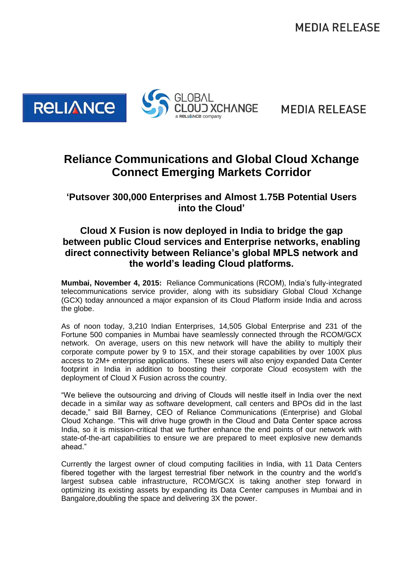**MEDIA RELEASE** 



**MEDIA RELEASE** 

## **Reliance Communications and Global Cloud Xchange Connect Emerging Markets Corridor**

**'Putsover 300,000 Enterprises and Almost 1.75B Potential Users into the Cloud'**

## **Cloud X Fusion is now deployed in India to bridge the gap between public Cloud services and Enterprise networks, enabling direct connectivity between Reliance's global MPLS network and the world's leading Cloud platforms.**

**Mumbai, November 4, 2015:** Reliance Communications (RCOM), India's fully-integrated telecommunications service provider, along with its subsidiary Global Cloud Xchange (GCX) today announced a major expansion of its Cloud Platform inside India and across the globe.

As of noon today, 3,210 Indian Enterprises, 14,505 Global Enterprise and 231 of the Fortune 500 companies in Mumbai have seamlessly connected through the RCOM/GCX network. On average, users on this new network will have the ability to multiply their corporate compute power by 9 to 15X, and their storage capabilities by over 100X plus access to 2M+ enterprise applications. These users will also enjoy expanded Data Center footprint in India in addition to boosting their corporate Cloud ecosystem with the deployment of Cloud X Fusion across the country.

"We believe the outsourcing and driving of Clouds will nestle itself in India over the next decade in a similar way as software development, call centers and BPOs did in the last decade," said Bill Barney, CEO of Reliance Communications (Enterprise) and Global Cloud Xchange. "This will drive huge growth in the Cloud and Data Center space across India, so it is mission-critical that we further enhance the end points of our network with state-of-the-art capabilities to ensure we are prepared to meet explosive new demands ahead."

Currently the largest owner of cloud computing facilities in India, with 11 Data Centers fibered together with the largest terrestrial fiber network in the country and the world's largest subsea cable infrastructure, RCOM/GCX is taking another step forward in optimizing its existing assets by expanding its Data Center campuses in Mumbai and in Bangalore,doubling the space and delivering 3X the power.